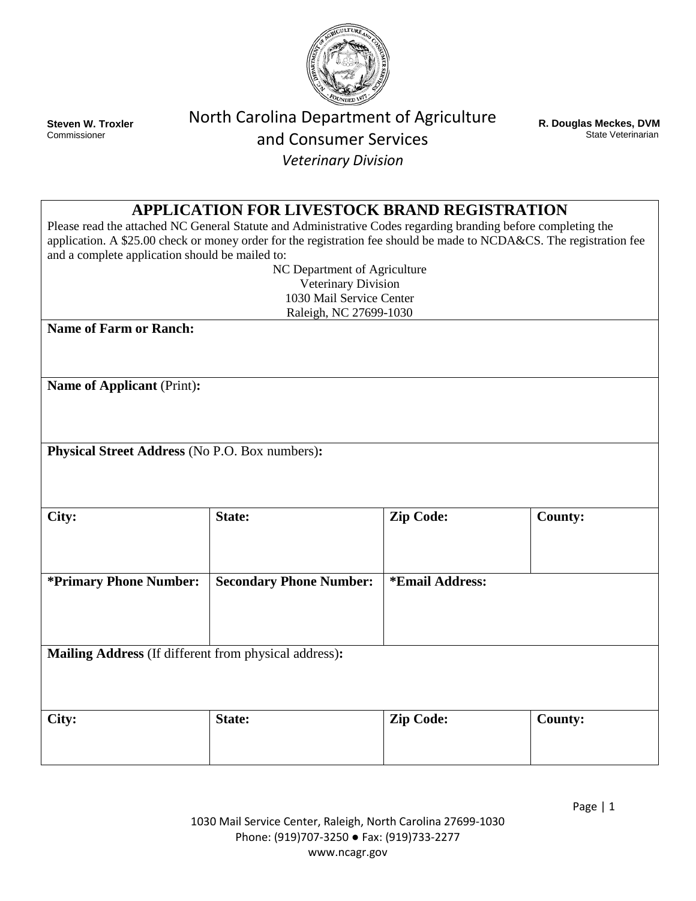

**Steven W. Troxler Commissioner** 

# North Carolina Department of Agriculture and Consumer Services *Veterinary Division*

**R. Douglas Meckes, DVM** State Veterinarian

## **APPLICATION FOR LIVESTOCK BRAND REGISTRATION**

Please read the attached NC General Statute and Administrative Codes regarding branding before completing the application. A \$25.00 check or money order for the registration fee should be made to NCDA&CS. The registration fee and a complete application should be mailed to:

> NC Department of Agriculture Veterinary Division 1030 Mail Service Center Raleigh, NC 27699-1030

**Name of Farm or Ranch:**

**Name of Applicant** (Print)**:**

**Physical Street Address** (No P.O. Box numbers)**:**

| City:                                                 | State:                         | <b>Zip Code:</b> | <b>County:</b> |
|-------------------------------------------------------|--------------------------------|------------------|----------------|
| <i>*Primary Phone Number:</i>                         | <b>Secondary Phone Number:</b> | *Email Address:  |                |
|                                                       |                                |                  |                |
| Mailing Address (If different from physical address): |                                |                  |                |
| City:                                                 | State:                         | <b>Zip Code:</b> | <b>County:</b> |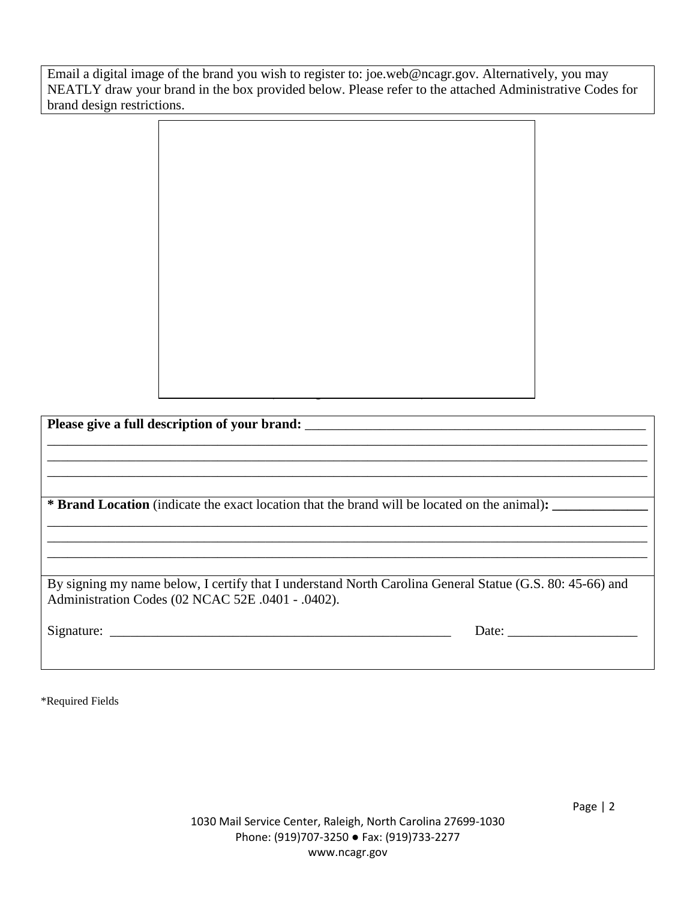Email a digital image of the brand you wish to register to: [joe.web@ncagr.gov.](mailto:joe.web@ncagr.gov) Alternatively, you may NEATLY draw your brand in the box provided below. Please refer to the attached Administrative Codes for brand design restrictions.

(Drawing of Brand or Mark) Please give a full description of your brand: \_\_\_\_\_\_\_\_\_\_\_\_\_\_\_\_\_\_\_\_\_\_\_\_\_\_\_\_\_\_\_\_\_\_\_ \_\_\_\_\_\_\_\_\_\_\_\_\_\_\_\_\_\_\_\_\_\_\_\_\_\_\_\_\_\_\_\_\_\_\_\_\_\_\_\_\_\_\_\_\_\_\_\_\_\_\_\_\_\_\_\_\_\_\_\_\_\_\_\_\_\_\_\_\_\_\_\_\_\_\_\_\_\_\_\_\_\_\_\_\_\_\_\_ \_\_\_\_\_\_\_\_\_\_\_\_\_\_\_\_\_\_\_\_\_\_\_\_\_\_\_\_\_\_\_\_\_\_\_\_\_\_\_\_\_\_\_\_\_\_\_\_\_\_\_\_\_\_\_\_\_\_\_\_\_\_\_\_\_\_\_\_\_\_\_\_\_\_\_\_\_\_\_\_\_\_\_\_\_\_\_\_ \_\_\_\_\_\_\_\_\_\_\_\_\_\_\_\_\_\_\_\_\_\_\_\_\_\_\_\_\_\_\_\_\_\_\_\_\_\_\_\_\_\_\_\_\_\_\_\_\_\_\_\_\_\_\_\_\_\_\_\_\_\_\_\_\_\_\_\_\_\_\_\_\_\_\_\_\_\_\_\_\_\_\_\_\_\_\_\_ **\* Brand Location** (indicate the exact location that the brand will be located on the animal)**: \_\_\_\_\_\_\_\_\_\_\_\_\_\_** \_\_\_\_\_\_\_\_\_\_\_\_\_\_\_\_\_\_\_\_\_\_\_\_\_\_\_\_\_\_\_\_\_\_\_\_\_\_\_\_\_\_\_\_\_\_\_\_\_\_\_\_\_\_\_\_\_\_\_\_\_\_\_\_\_\_\_\_\_\_\_\_\_\_\_\_\_\_\_\_\_\_\_\_\_\_\_\_ \_\_\_\_\_\_\_\_\_\_\_\_\_\_\_\_\_\_\_\_\_\_\_\_\_\_\_\_\_\_\_\_\_\_\_\_\_\_\_\_\_\_\_\_\_\_\_\_\_\_\_\_\_\_\_\_\_\_\_\_\_\_\_\_\_\_\_\_\_\_\_\_\_\_\_\_\_\_\_\_\_\_\_\_\_\_\_\_ \_\_\_\_\_\_\_\_\_\_\_\_\_\_\_\_\_\_\_\_\_\_\_\_\_\_\_\_\_\_\_\_\_\_\_\_\_\_\_\_\_\_\_\_\_\_\_\_\_\_\_\_\_\_\_\_\_\_\_\_\_\_\_\_\_\_\_\_\_\_\_\_\_\_\_\_\_\_\_\_\_\_\_\_\_\_\_\_ By signing my name below, I certify that I understand North Carolina General Statue (G.S. 80: 45-66) and Administration Codes (02 NCAC 52E .0401 - .0402). Signature: \_\_\_\_\_\_\_\_\_\_\_\_\_\_\_\_\_\_\_\_\_\_\_\_\_\_\_\_\_\_\_\_\_\_\_\_\_\_\_\_\_\_\_\_\_\_\_\_\_\_ Date: \_\_\_\_\_\_\_\_\_\_\_\_\_\_\_\_\_\_\_

\*Required Fields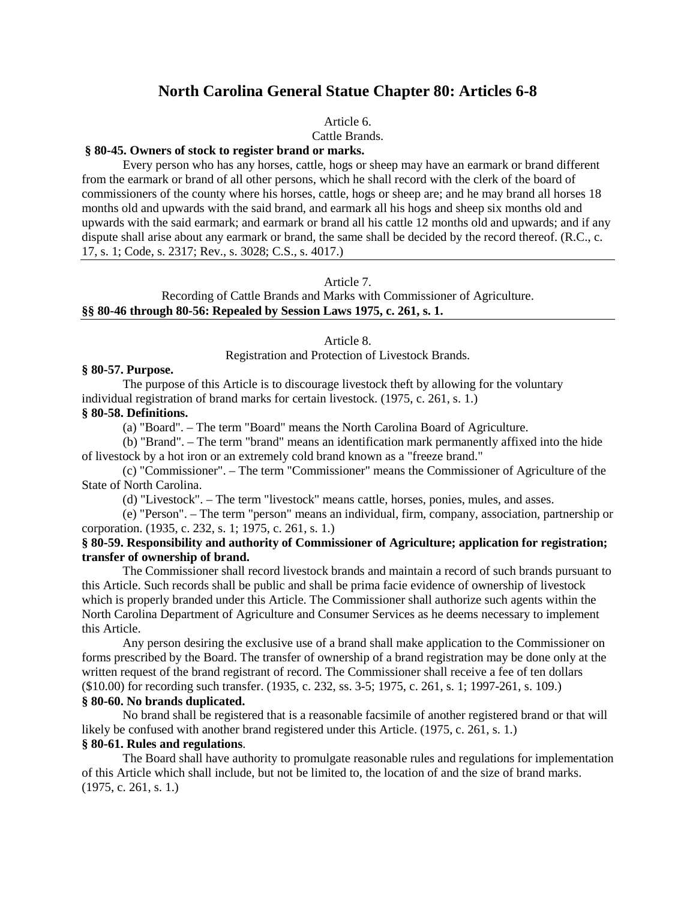## **North Carolina General Statue Chapter 80: Articles 6-8**

Article 6.

Cattle Brands.

#### **§ 80-45. Owners of stock to register brand or marks.**

Every person who has any horses, cattle, hogs or sheep may have an earmark or brand different from the earmark or brand of all other persons, which he shall record with the clerk of the board of commissioners of the county where his horses, cattle, hogs or sheep are; and he may brand all horses 18 months old and upwards with the said brand, and earmark all his hogs and sheep six months old and upwards with the said earmark; and earmark or brand all his cattle 12 months old and upwards; and if any dispute shall arise about any earmark or brand, the same shall be decided by the record thereof. (R.C., c. 17, s. 1; Code, s. 2317; Rev., s. 3028; C.S., s. 4017.)

#### Article 7.

Recording of Cattle Brands and Marks with Commissioner of Agriculture. **§§ 80-46 through 80-56: Repealed by Session Laws 1975, c. 261, s. 1.**

#### Article 8.

Registration and Protection of Livestock Brands.

#### **§ 80-57. Purpose.**

The purpose of this Article is to discourage livestock theft by allowing for the voluntary individual registration of brand marks for certain livestock. (1975, c. 261, s. 1.) **§ 80-58. Definitions.**

(a) "Board". – The term "Board" means the North Carolina Board of Agriculture.

(b) "Brand". – The term "brand" means an identification mark permanently affixed into the hide of livestock by a hot iron or an extremely cold brand known as a "freeze brand."

(c) "Commissioner". – The term "Commissioner" means the Commissioner of Agriculture of the State of North Carolina.

(d) "Livestock". – The term "livestock" means cattle, horses, ponies, mules, and asses.

(e) "Person". – The term "person" means an individual, firm, company, association, partnership or corporation. (1935, c. 232, s. 1; 1975, c. 261, s. 1.)

#### **§ 80-59. Responsibility and authority of Commissioner of Agriculture; application for registration; transfer of ownership of brand.**

The Commissioner shall record livestock brands and maintain a record of such brands pursuant to this Article. Such records shall be public and shall be prima facie evidence of ownership of livestock which is properly branded under this Article. The Commissioner shall authorize such agents within the North Carolina Department of Agriculture and Consumer Services as he deems necessary to implement this Article.

Any person desiring the exclusive use of a brand shall make application to the Commissioner on forms prescribed by the Board. The transfer of ownership of a brand registration may be done only at the written request of the brand registrant of record. The Commissioner shall receive a fee of ten dollars (\$10.00) for recording such transfer. (1935, c. 232, ss. 3-5; 1975, c. 261, s. 1; 1997-261, s. 109.) **§ 80-60. No brands duplicated.**

No brand shall be registered that is a reasonable facsimile of another registered brand or that will likely be confused with another brand registered under this Article. (1975, c. 261, s. 1.)

## **§ 80-61. Rules and regulations**.

The Board shall have authority to promulgate reasonable rules and regulations for implementation of this Article which shall include, but not be limited to, the location of and the size of brand marks. (1975, c. 261, s. 1.)